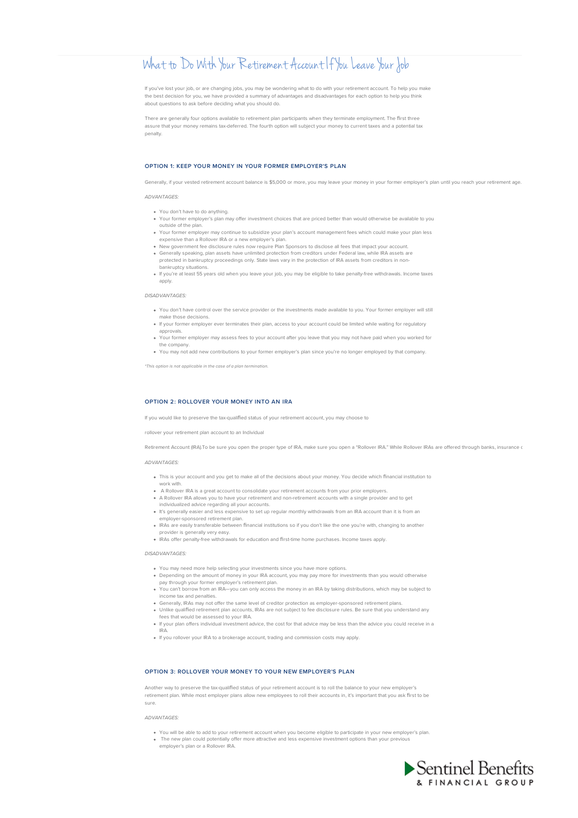# What to Do With Your Retirement Account If You Leave Your Job

If you've lost your job, or are changing jobs, you may be wondering what to do with your retirement account. To help you make the best decision for you, we have provided a summary of advantages and disadvantages for each option to help you think about questions to ask before deciding what you should do.

There are generally four options available to retirement plan participants when they terminate employment. The first three assure that your money remains tax-deferred. The fourth option will subject your money to current taxes and a potential tax penalty.

# **OPTION 1: KEEP YOUR MONEY IN YOUR FORMER EMPLOYER'S PLAN**

Generally, if your vested retirement account balance is \$5,000 or more, you may leave your money in your former employer's plan until you reach your retirement age

ADVANTAGES:

- You don't have to do anything.
- Your former employer's plan may offer investment choices that are priced better than would otherwise be available to you outside of the plan.
- Your former employer may continue to subsidize your plan's account management fees which could make your plan less expensive than a Rollover IRA or a new employer's plan.
- New government fee disclosure rules now require Plan Sponsors to disclose all fees that impact your account. Generally speaking, plan assets have unlimited protection from creditors under Federal law, while IRA assets are protected in bankruptcy proceedings only. State laws vary in the protection of IRA assets from creditors in nonbankruptcy situations.
- If you're at least 55 years old when you leave your job, you may be eligible to take penalty-free withdrawals. Income taxes apply.

# DISADVANTAGES:

- You don't have control over the service provider or the investments made available to you. Your former employer will still make those decisions.
- If your former employer ever terminates their plan, access to your account could be limited while waiting for regulatory approvals.
- Your former employer may assess fees to your account after you leave that you may not have paid when you worked for the company.
- You may not add new contributions to your former employer's plan since you're no longer employed by that company.

\*This option is not applicable in the case of a plan termination.

# **OPTION 2: ROLLOVER YOUR MONEY INTO AN IRA**

If you would like to preserve the tax-qualified status of your retirement account, you may choose to

rollover your retirement plan account to an Individual

Retirement Account (IRA).To be sure you open the proper type of IRA, make sure you open a "Rollover IRA." While Rollover IRAs are offered through banks, insurance of

### ADVANTAGES:

- This is your account and you get to make all of the decisions about your money. You decide which financial institution to
- work with. A Rollover IRA is a great account to consolidate your retirement accounts from your prior employers.
- A Rollover IRA allows you to have your retirement and non-retirement accounts with a single provider and to get individualized advice regarding all your accounts.
- It's generally easier and less expensive to set up regular monthly withdrawals from an IRA account than it is from an
- employer-sponsored retirement plan.
- IRAs are easily transferable between financial institutions so if you don't like the one you're with, changing to another
- provider is generally very easy. IRAs offer penalty-free withdrawals for education and first-time home purchases. Income taxes apply.

#### DISADVANTAGES:

- You may need more help selecting your investments since you have more options.
- may need more may extering year investments and y yearned more application.<br>Ending on the amount of money in your IRA account, you may pay more for investments than you would otherwise pay through your former employer's retirement plan.
- You can't borrow from an IRA—you can only access the money in an IRA by taking distributions, which may be subject to income tax and penalties.
- Generally, IRAs may not offer the same level of creditor protection as employer-sponsored retirement plans. Unlike qualified retirement plan accounts, IRAs are not subject to fee disclosure rules. Be sure that you understand any
- fees that would be assessed to your IRA.
- If your plan offers individual investment advice, the cost for that advice may be less than the advice you could receive in a IRA. If you rollover your IRA to a brokerage account, trading and commission costs may apply.
- 

#### **OPTION 3: ROLLOVER YOUR MONEY TO YOUR NEW EMPLOYER'S PLAN**

Another way to preserve the tax-qualified status of your retirement account is to roll the balance to your new employer's retirement plan. While most employer plans allow new employees to roll their accounts in, it's important that you ask first to be sure.

# ADVANTAGES:

You will be able to add to your retirement account when you become eligible to participate in your new employer's plan.<br>The new plan could potentially offer more attractive and less expensive investment options than your p employer's plan or a Rollover IRA.